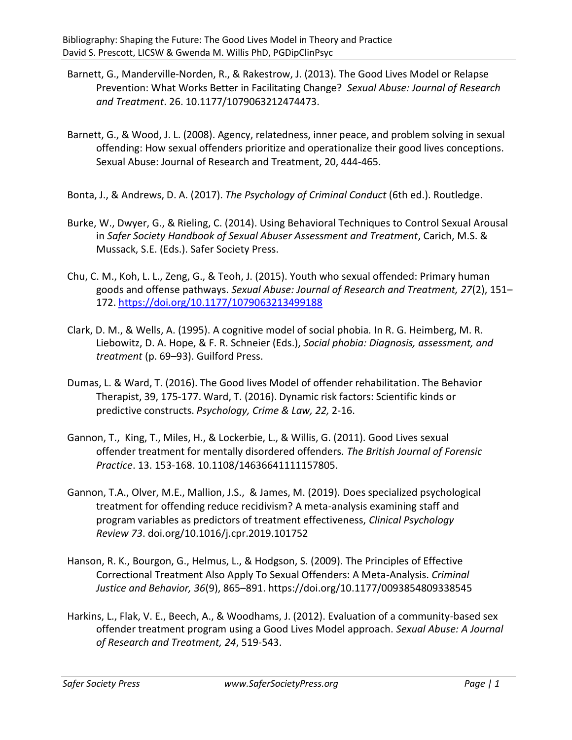- Barnett, G., Manderville-Norden, R., & Rakestrow, J. (2013). The Good Lives Model or Relapse Prevention: What Works Better in Facilitating Change? *Sexual Abuse: Journal of Research and Treatment*. 26. 10.1177/1079063212474473.
- Barnett, G., & Wood, J. L. (2008). Agency, relatedness, inner peace, and problem solving in sexual offending: How sexual offenders prioritize and operationalize their good lives conceptions. Sexual Abuse: Journal of Research and Treatment, 20, 444-465.
- Bonta, J., & Andrews, D. A. (2017). *The Psychology of Criminal Conduct* (6th ed.). Routledge.
- Burke, W., Dwyer, G., & Rieling, C. (2014). Using Behavioral Techniques to Control Sexual Arousal in *Safer Society Handbook of Sexual Abuser Assessment and Treatment*, Carich, M.S. & Mussack, S.E. (Eds.). Safer Society Press.
- Chu, C. M., Koh, L. L., Zeng, G., & Teoh, J. (2015). Youth who sexual offended: Primary human goods and offense pathways. *Sexual Abuse: Journal of Research and Treatment, 27*(2), 151– 172. [https://doi.org/10.1177/1079063213499188](https://psycnet.apa.org/doi/10.1177/1079063213499188)
- Clark, D. M., & Wells, A. (1995). A cognitive model of social phobia*.* In R. G. Heimberg, M. R. Liebowitz, D. A. Hope, & F. R. Schneier (Eds.), *Social phobia: Diagnosis, assessment, and treatment* (p. 69–93). Guilford Press.
- Dumas, L. & Ward, T. (2016). The Good lives Model of offender rehabilitation. The Behavior Therapist, 39, 175-177. Ward, T. (2016). Dynamic risk factors: Scientific kinds or predictive constructs. *Psychology, Crime & Law, 22,* 2-16.
- Gannon, T., King, T., Miles, H., & Lockerbie, L., & Willis, G. (2011). Good Lives sexual offender treatment for mentally disordered offenders. *The British Journal of Forensic Practice*. 13. 153-168. 10.1108/14636641111157805.
- Gannon, T.A., Olver, M.E., Mallion, J.S., & James, M. (2019). Does specialized psychological treatment for offending reduce recidivism? A meta-analysis examining staff and program variables as predictors of treatment effectiveness, *Clinical Psychology Review 73*. doi.org/10.1016/j.cpr.2019.101752
- Hanson, R. K., Bourgon, G., Helmus, L., & Hodgson, S. (2009). The Principles of Effective Correctional Treatment Also Apply To Sexual Offenders: A Meta-Analysis. *Criminal Justice and Behavior, 36*(9), 865–891. https://doi.org/10.1177/0093854809338545
- Harkins, L., Flak, V. E., Beech, A., & Woodhams, J. (2012). Evaluation of a community-based sex offender treatment program using a Good Lives Model approach. *Sexual Abuse: A Journal of Research and Treatment, 24*, 519-543.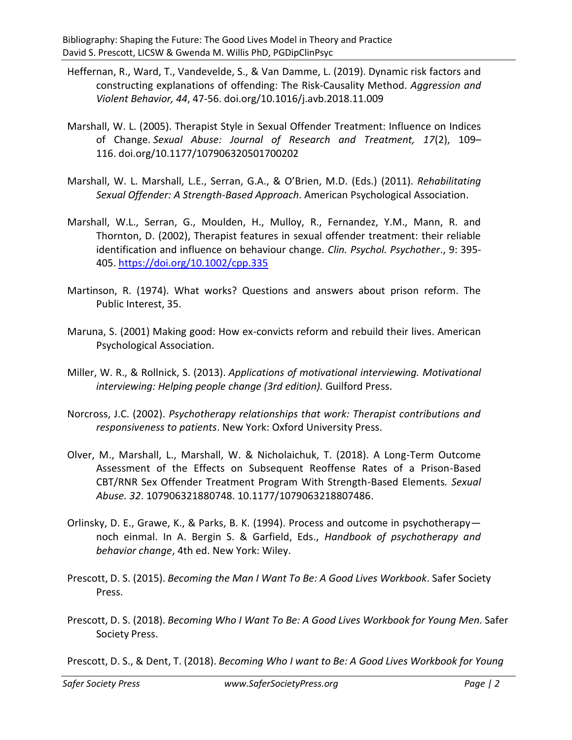- Heffernan, R., Ward, T., Vandevelde, S., & Van Damme, L. (2019). Dynamic risk factors and constructing explanations of offending: The Risk-Causality Method. *Aggression and Violent Behavior, 44*, 47-56. doi.org/10.1016/j.avb.2018.11.009
- Marshall, W. L. (2005). Therapist Style in Sexual Offender Treatment: Influence on Indices of Change. *Sexual Abuse: Journal of Research and Treatment, 17*(2), 109– 116. doi.org/10.1177/107906320501700202
- Marshall, W. L. Marshall, L.E., Serran, G.A., & O'Brien, M.D. (Eds.) (2011). *Rehabilitating Sexual Offender: A Strength-Based Approach*. American Psychological Association.
- Marshall, W.L., Serran, G., Moulden, H., Mulloy, R., Fernandez, Y.M., Mann, R. and Thornton, D. (2002), Therapist features in sexual offender treatment: their reliable identification and influence on behaviour change. *Clin. Psychol. Psychother*., 9: 395- 405. <https://doi.org/10.1002/cpp.335>
- Martinson, R. (1974). What works? Questions and answers about prison reform. The Public Interest, 35.
- Maruna, S. (2001) Making good: How ex-convicts reform and rebuild their lives. American Psychological Association.
- Miller, W. R., & Rollnick, S. (2013). *Applications of motivational interviewing. Motivational interviewing: Helping people change (3rd edition).* Guilford Press.
- Norcross, J.C. (2002). *Psychotherapy relationships that work: Therapist contributions and responsiveness to patients*. New York: Oxford University Press.
- Olver, M., Marshall, L., Marshall, W. & Nicholaichuk, T. (2018). A Long-Term Outcome Assessment of the Effects on Subsequent Reoffense Rates of a Prison-Based CBT/RNR Sex Offender Treatment Program With Strength-Based Elements*. Sexual Abuse. 32*. 107906321880748. 10.1177/1079063218807486.
- Orlinsky, D. E., Grawe, K., & Parks, B. K. (1994). Process and outcome in psychotherapy noch einmal. In A. Bergin S. & Garfield, Eds., *Handbook of psychotherapy and behavior change*, 4th ed. New York: Wiley.
- Prescott, D. S. (2015). *Becoming the Man I Want To Be: A Good Lives Workbook*. Safer Society Press.
- Prescott, D. S. (2018). *Becoming Who I Want To Be: A Good Lives Workbook for Young Men*. Safer Society Press.

Prescott, D. S., & Dent, T. (2018). *Becoming Who I want to Be: A Good Lives Workbook for Young*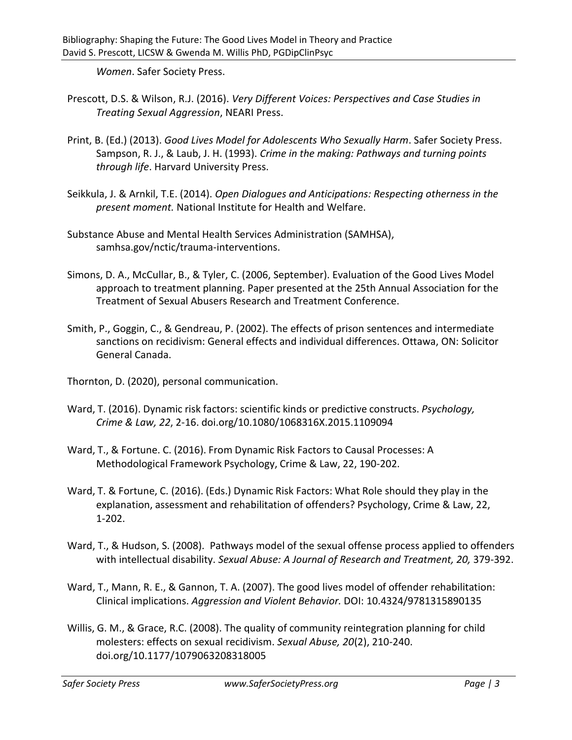*Women*. Safer Society Press.

- Prescott, D.S. & Wilson, R.J. (2016). *Very Different Voices: Perspectives and Case Studies in Treating Sexual Aggression*, NEARI Press.
- Print, B. (Ed.) (2013). *Good Lives Model for Adolescents Who Sexually Harm*. Safer Society Press. Sampson, R. J., & Laub, J. H. (1993). *Crime in the making: Pathways and turning points through life*. Harvard University Press.
- Seikkula, J. & Arnkil, T.E. (2014). *Open Dialogues and Anticipations: Respecting otherness in the present moment.* National Institute for Health and Welfare.
- Substance Abuse and Mental Health Services Administration (SAMHSA), samhsa.gov/nctic/trauma-interventions.
- Simons, D. A., McCullar, B., & Tyler, C. (2006, September). Evaluation of the Good Lives Model approach to treatment planning. Paper presented at the 25th Annual Association for the Treatment of Sexual Abusers Research and Treatment Conference.
- Smith, P., Goggin, C., & Gendreau, P. (2002). The effects of prison sentences and intermediate sanctions on recidivism: General effects and individual differences. Ottawa, ON: Solicitor General Canada.
- Thornton, D. (2020), personal communication.
- Ward, T. (2016). Dynamic risk factors: scientific kinds or predictive constructs. *Psychology, Crime & Law, 22*, 2-16. doi.org/10.1080/1068316X.2015.1109094
- Ward, T., & Fortune. C. (2016). From Dynamic Risk Factors to Causal Processes: A Methodological Framework Psychology, Crime & Law, 22, 190-202.
- Ward, T. & Fortune, C. (2016). (Eds.) Dynamic Risk Factors: What Role should they play in the explanation, assessment and rehabilitation of offenders? Psychology, Crime & Law, 22, 1-202.
- Ward, T., & Hudson, S. (2008). Pathways model of the sexual offense process applied to offenders with intellectual disability. *Sexual Abuse: A Journal of Research and Treatment, 20,* 379-392.
- Ward, T., Mann, R. E., & Gannon, T. A. (2007). The good lives model of offender rehabilitation: Clinical implications. *Aggression and Violent Behavior.* DOI: 10.4324/9781315890135
- Willis, G. M., & Grace, R.C. (2008). The quality of community reintegration planning for child molesters: effects on sexual recidivism. *Sexual Abuse, 20*(2), 210-240. doi.org/10.1177/1079063208318005